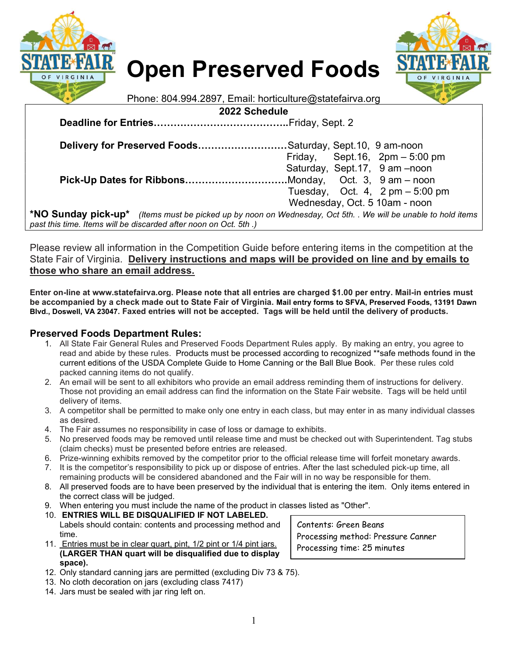

# Open Preserved Foods



Phone: 804.994.2897, Email: horticulture@statefairva.org

2022 Schedule

Deadline for Entries…………………………………..Friday, Sept. 2

| Delivery for Preserved FoodsSaturday, Sept.10, 9 am-noon                                                      |  |                                                   |
|---------------------------------------------------------------------------------------------------------------|--|---------------------------------------------------|
|                                                                                                               |  | Friday, Sept. 16, $2pm - 5:00$ pm                 |
|                                                                                                               |  | Saturday, Sept.17, 9 am -noon                     |
|                                                                                                               |  |                                                   |
|                                                                                                               |  | Tuesday, Oct. 4, $2 \text{ pm} - 5.00 \text{ pm}$ |
|                                                                                                               |  | Wednesday, Oct. 5 10am - noon                     |
| *NO Sunday pick-up* (Items must be picked up by noon on Wednesday, Oct 5th. . We will be unable to hold items |  |                                                   |
| past this time. Items will be discarded after noon on Oct. 5th.)                                              |  |                                                   |

Please review all information in the Competition Guide before entering items in the competition at the State Fair of Virginia. Delivery instructions and maps will be provided on line and by emails to those who share an email address.

Enter on-line at www.statefairva.org. Please note that all entries are charged \$1.00 per entry. Mail-in entries must be accompanied by a check made out to State Fair of Virginia. Mail entry forms to SFVA, Preserved Foods, 13191 Dawn Blvd., Doswell, VA 23047. Faxed entries will not be accepted. Tags will be held until the delivery of products.

## Preserved Foods Department Rules:

- 1. All State Fair General Rules and Preserved Foods Department Rules apply. By making an entry, you agree to read and abide by these rules. Products must be processed according to recognized \*\*safe methods found in the current editions of the USDA Complete Guide to Home Canning or the Ball Blue Book. Per these rules cold packed canning items do not qualify.
- 2. An email will be sent to all exhibitors who provide an email address reminding them of instructions for delivery. Those not providing an email address can find the information on the State Fair website. Tags will be held until delivery of items.
- 3. A competitor shall be permitted to make only one entry in each class, but may enter in as many individual classes as desired.
- 4. The Fair assumes no responsibility in case of loss or damage to exhibits.
- 5. No preserved foods may be removed until release time and must be checked out with Superintendent. Tag stubs (claim checks) must be presented before entries are released.
- 6. Prize-winning exhibits removed by the competitor prior to the official release time will forfeit monetary awards.
- 7. It is the competitor's responsibility to pick up or dispose of entries. After the last scheduled pick-up time, all remaining products will be considered abandoned and the Fair will in no way be responsible for them.
- 8. All preserved foods are to have been preserved by the individual that is entering the item. Only items entered in the correct class will be judged.
- 9. When entering you must include the name of the product in classes listed as "Other".
- 10. ENTRIES WILL BE DISQUALIFIED IF NOT LABELED. Labels should contain: contents and processing method and time.
- 11. Entries must be in clear quart, pint, 1/2 pint or 1/4 pint jars. (LARGER THAN quart will be disqualified due to display space).
- 12. Only standard canning jars are permitted (excluding Div 73 & 75).
- 13. No cloth decoration on jars (excluding class 7417)
- 14. Jars must be sealed with jar ring left on.

Contents: Green Beans Processing method: Pressure Canner Processing time: 25 minutes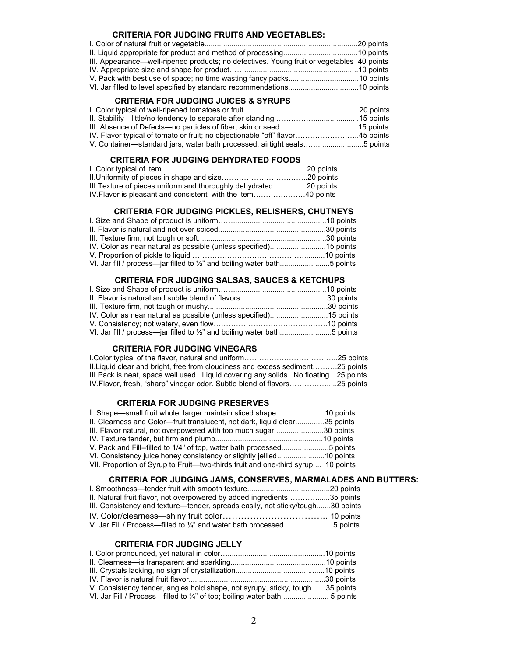#### CRITERIA FOR JUDGING FRUITS AND VEGETABLES:

| III. Appearance—well-ripened products; no defectives. Young fruit or vegetables 40 points |  |
|-------------------------------------------------------------------------------------------|--|
|                                                                                           |  |
|                                                                                           |  |
|                                                                                           |  |

## CRITERIA FOR JUDGING JUICES & SYRUPS

| IV. Flavor typical of tomato or fruit; no objectionable "off" flavor45 points |  |
|-------------------------------------------------------------------------------|--|
| V. Container—standard jars; water bath processed; airtight seals5 points      |  |

## CRITERIA FOR JUDGING DEHYDRATED FOODS

| III. Texture of pieces uniform and thoroughly dehydrated20 points |  |
|-------------------------------------------------------------------|--|
| IV. Flavor is pleasant and consistent with the item40 points      |  |

## CRITERIA FOR JUDGING PICKLES, RELISHERS, CHUTNEYS

| VI. Jar fill / process-jar filled to 1/2" and boiling water bath5 points |  |
|--------------------------------------------------------------------------|--|

#### CRITERIA FOR JUDGING SALSAS, SAUCES & KETCHUPS

| VI. Jar fill / process-jar filled to 1/2" and boiling water bath5 points |  |
|--------------------------------------------------------------------------|--|

#### CRITERIA FOR JUDGING VINEGARS

| II. Liquid clear and bright, free from cloudiness and excess sediment25 points       |  |
|--------------------------------------------------------------------------------------|--|
| III. Pack is neat, space well used. Liquid covering any solids. No floating25 points |  |
| IV. Flavor, fresh, "sharp" vinegar odor. Subtle blend of flavors25 points            |  |

### CRITERIA FOR JUDGING PRESERVES

| 1. Shape—small fruit whole, larger maintain sliced shape10 points                |  |
|----------------------------------------------------------------------------------|--|
| II. Clearness and Color-fruit translucent, not dark, liquid clear25 points       |  |
| III. Flavor natural, not overpowered with too much sugar30 points                |  |
|                                                                                  |  |
| V. Pack and Fill--filled to 1/4" of top, water bath processed5 points            |  |
| VI. Consistency juice honey consistency or slightly jellied10 points             |  |
| VII. Proportion of Syrup to Fruit—two-thirds fruit and one-third syrup 10 points |  |

### CRITERIA FOR JUDGING JAMS, CONSERVES, MARMALADES AND BUTTERS:

| II. Natural fruit flavor, not overpowered by added ingredients35 points        |  |
|--------------------------------------------------------------------------------|--|
| III. Consistency and texture—tender, spreads easily, not sticky/tough30 points |  |
|                                                                                |  |
|                                                                                |  |

## CRITERIA FOR JUDGING JELLY

| V. Consistency tender, angles hold shape, not syrupy, sticky, tough35 points |  |
|------------------------------------------------------------------------------|--|
|                                                                              |  |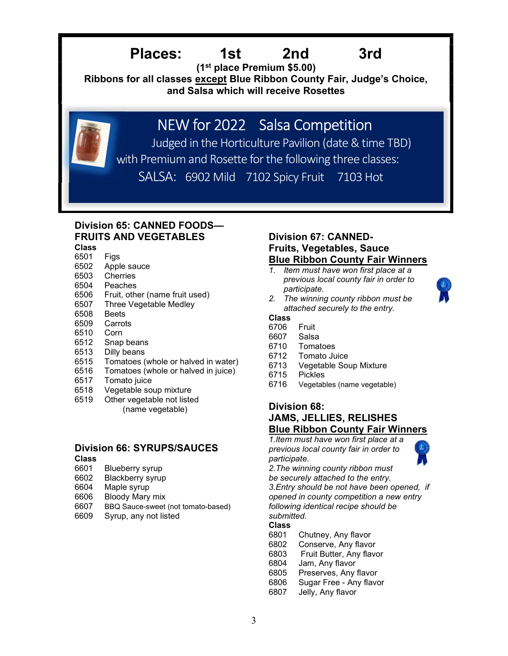## Places: 1st 2nd 3rd

(1st place Premium \$5.00)

Ribbons for all classes except Blue Ribbon County Fair, Judge's Choice, and Salsa which will receive Rosettes

## NEW for 2022 Salsa Competition

*Denet are award for the Horticulture Pavilion (date & time TBD)*  with Premium and Rosette for the following three classes: SALSA: 6902 Mild 7102 Spicy Fruit 7103 Hot

## Division 65: CANNED FOODS— FRUITS AND VEGETABLES

## Class

- 6501 Figs 6502 Apple sauce
- 6503 Cherries
- 6504 Peaches
- 6506 Fruit, other (name fruit used)
- 6507 Three Vegetable Medley<br>6508 Beets
- **Beets**
- 6509 Carrots
- 6510 Corn
- 6512 Snap beans
- 6513 Dilly beans
- 6515 Tomatoes (whole or halved in water)
- 6516 Tomatoes (whole or halved in juice)
- 6517 Tomato juice
- 6518 Vegetable soup mixture
- 6519 Other vegetable not listed (name vegetable)

## Division 66: SYRUPS/SAUCES

- Class
- 6601 Blueberry syrup
- 6602 Blackberry syrup
- 6604 Maple syrup
- 6606 Bloody Mary mix
- 6607 BBQ Sauce-sweet (not tomato-based)
- 6609 Syrup, any not listed

## Division 67: CANNED-Fruits, Vegetables, Sauce Blue Ribbon County Fair Winners

1. Item must have won first place at a previous local county fair in order to participate.



2. The winning county ribbon must be attached securely to the entry.

## Class

- 6706 Fruit
- 6607 Salsa
- 6710 Tomatoes
- 6712 Tomato Juice
- 6713 Vegetable Soup Mixture
- 6715 Pickles
- 6716 Vegetables (name vegetable)

## Division 68: JAMS, JELLIES, RELISHES Blue Ribbon County Fair Winners

1.Item must have won first place at a previous local county fair in order to participate.

2.The winning county ribbon must be securely attached to the entry.

3.Entry should be not have been opened, if opened in county competition a new entry following identical recipe should be submitted.

## Class

- 6801 Chutney, Any flavor
- 6802 Conserve, Any flavor
- 6803 Fruit Butter, Any flavor
- 6804 Jam, Any flavor
- 6805 Preserves, Any flavor
- 6806 Sugar Free Any flavor
- 6807 Jelly, Any flavor